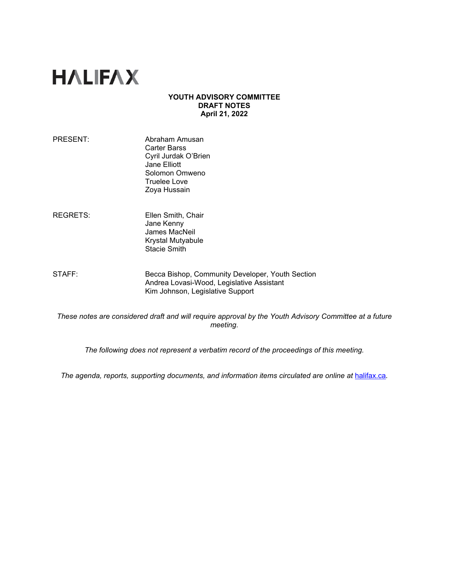# **HALIFAX**

## **YOUTH ADVISORY COMMITTEE DRAFT NOTES April 21, 2022**

- PRESENT: Abraham Amusan Carter Barss Cyril Jurdak O'Brien Jane Elliott Solomon Omweno Truelee Love Zoya Hussain
- REGRETS: Ellen Smith, Chair Jane Kenny James MacNeil Krystal Mutyabule Stacie Smith
- STAFF: Becca Bishop, Community Developer, Youth Section Andrea Lovasi-Wood, Legislative Assistant Kim Johnson, Legislative Support

*These notes are considered draft and will require approval by the Youth Advisory Committee at a future meeting.* 

*The following does not represent a verbatim record of the proceedings of this meeting.*

*The agenda, reports, supporting documents, and information items circulated are online at [halifax.ca](http://www.halifax.ca/).*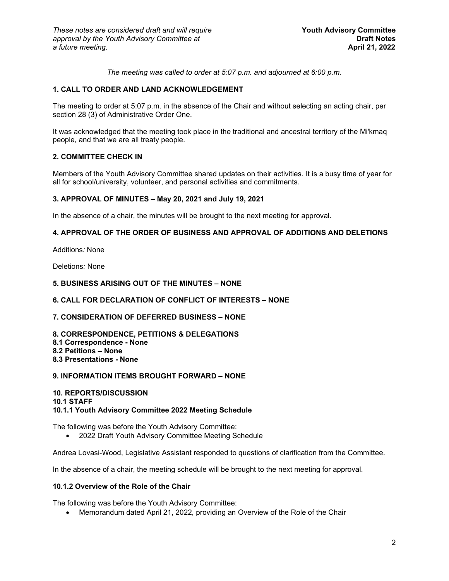*The meeting was called to order at 5:07 p.m. and adjourned at 6:00 p.m.*

# **1. CALL TO ORDER AND LAND ACKNOWLEDGEMENT**

The meeting to order at 5:07 p.m. in the absence of the Chair and without selecting an acting chair, per section 28 (3) of Administrative Order One.

It was acknowledged that the meeting took place in the traditional and ancestral territory of the Mi'kmaq people, and that we are all treaty people.

## **2. COMMITTEE CHECK IN**

Members of the Youth Advisory Committee shared updates on their activities. It is a busy time of year for all for school/university, volunteer, and personal activities and commitments.

### **3. APPROVAL OF MINUTES – May 20, 2021 and July 19, 2021**

In the absence of a chair, the minutes will be brought to the next meeting for approval.

## **4. APPROVAL OF THE ORDER OF BUSINESS AND APPROVAL OF ADDITIONS AND DELETIONS**

Additions*:* None

Deletions*:* None

## **5. BUSINESS ARISING OUT OF THE MINUTES – NONE**

### **6. CALL FOR DECLARATION OF CONFLICT OF INTERESTS – NONE**

## **7. CONSIDERATION OF DEFERRED BUSINESS – NONE**

**8. CORRESPONDENCE, PETITIONS & DELEGATIONS 8.1 Correspondence - None 8.2 Petitions – None 8.3 Presentations - None**

## **9. INFORMATION ITEMS BROUGHT FORWARD – NONE**

### **10. REPORTS/DISCUSSION 10.1 STAFF 10.1.1 Youth Advisory Committee 2022 Meeting Schedule**

The following was before the Youth Advisory Committee:

• 2022 Draft Youth Advisory Committee Meeting Schedule

Andrea Lovasi-Wood, Legislative Assistant responded to questions of clarification from the Committee.

In the absence of a chair, the meeting schedule will be brought to the next meeting for approval.

### **10.1.2 Overview of the Role of the Chair**

The following was before the Youth Advisory Committee:

• Memorandum dated April 21, 2022, providing an Overview of the Role of the Chair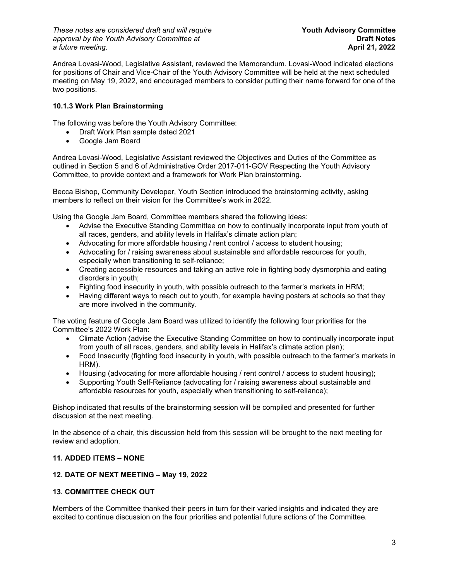*These notes are considered draft and will require* **Youth Advisory Committee** approval by the Youth Advisory Committee at *Draft Notes* **Draft Notes**<br>a future meeting. **Draft Notes April 21, 2022**  $a$  *future meeting.* 

Andrea Lovasi-Wood, Legislative Assistant*,* reviewed the Memorandum. Lovasi-Wood indicated elections for positions of Chair and Vice-Chair of the Youth Advisory Committee will be held at the next scheduled meeting on May 19, 2022, and encouraged members to consider putting their name forward for one of the two positions.

# **10.1.3 Work Plan Brainstorming**

The following was before the Youth Advisory Committee:

- Draft Work Plan sample dated 2021
- Google Jam Board

Andrea Lovasi-Wood, Legislative Assistant reviewed the Objectives and Duties of the Committee as outlined in Section 5 and 6 of Administrative Order 2017-011-GOV Respecting the Youth Advisory Committee, to provide context and a framework for Work Plan brainstorming.

Becca Bishop, Community Developer, Youth Section introduced the brainstorming activity, asking members to reflect on their vision for the Committee's work in 2022.

Using the Google Jam Board, Committee members shared the following ideas:

- Advise the Executive Standing Committee on how to continually incorporate input from youth of all races, genders, and ability levels in Halifax's climate action plan;
- Advocating for more affordable housing / rent control / access to student housing;
- Advocating for / raising awareness about sustainable and affordable resources for youth, especially when transitioning to self-reliance;
- Creating accessible resources and taking an active role in fighting body dysmorphia and eating disorders in youth;
- Fighting food insecurity in youth, with possible outreach to the farmer's markets in HRM;
- Having different ways to reach out to youth, for example having posters at schools so that they are more involved in the community.

The voting feature of Google Jam Board was utilized to identify the following four priorities for the Committee's 2022 Work Plan:

- Climate Action (advise the Executive Standing Committee on how to continually incorporate input from youth of all races, genders, and ability levels in Halifax's climate action plan);
- Food Insecurity (fighting food insecurity in youth, with possible outreach to the farmer's markets in HRM).
- Housing (advocating for more affordable housing / rent control / access to student housing);
- Supporting Youth Self-Reliance (advocating for / raising awareness about sustainable and affordable resources for youth, especially when transitioning to self-reliance);

Bishop indicated that results of the brainstorming session will be compiled and presented for further discussion at the next meeting.

In the absence of a chair, this discussion held from this session will be brought to the next meeting for review and adoption.

# **11. ADDED ITEMS – NONE**

# **12. DATE OF NEXT MEETING – May 19, 2022**

# **13. COMMITTEE CHECK OUT**

Members of the Committee thanked their peers in turn for their varied insights and indicated they are excited to continue discussion on the four priorities and potential future actions of the Committee.